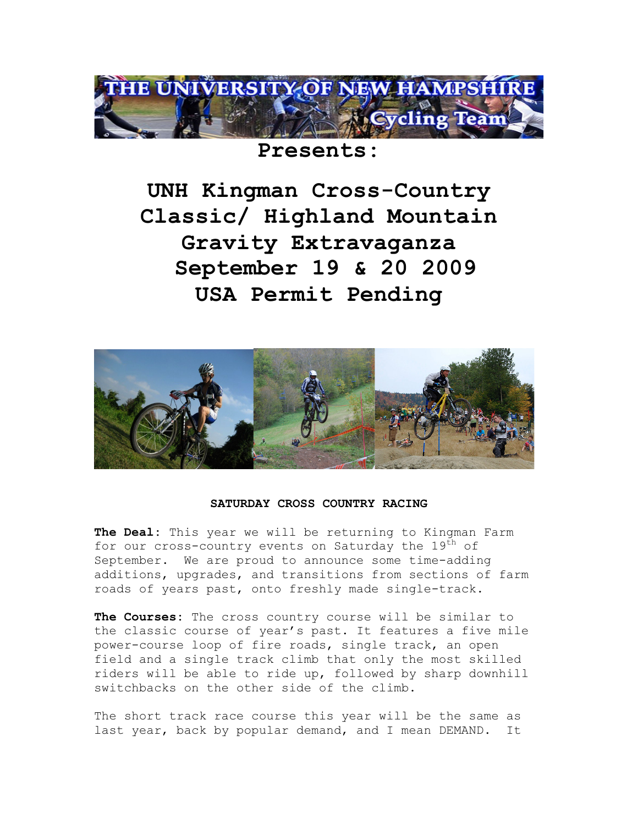

# **Presents:**

**UNH Kingman Cross-Country Classic/ Highland Mountain Gravity Extravaganza September 19 & 20 2009 USA Permit Pending**



## **SATURDAY CROSS COUNTRY RACING**

**The Deal:** This year we will be returning to Kingman Farm for our cross-country events on Saturday the 19<sup>th</sup> of September. We are proud to announce some time-adding additions, upgrades, and transitions from sections of farm roads of years past, onto freshly made single-track.

**The Courses:** The cross country course will be similar to the classic course of year's past. It features a five mile power-course loop of fire roads, single track, an open field and a single track climb that only the most skilled riders will be able to ride up, followed by sharp downhill switchbacks on the other side of the climb.

The short track race course this year will be the same as last year, back by popular demand, and I mean DEMAND. It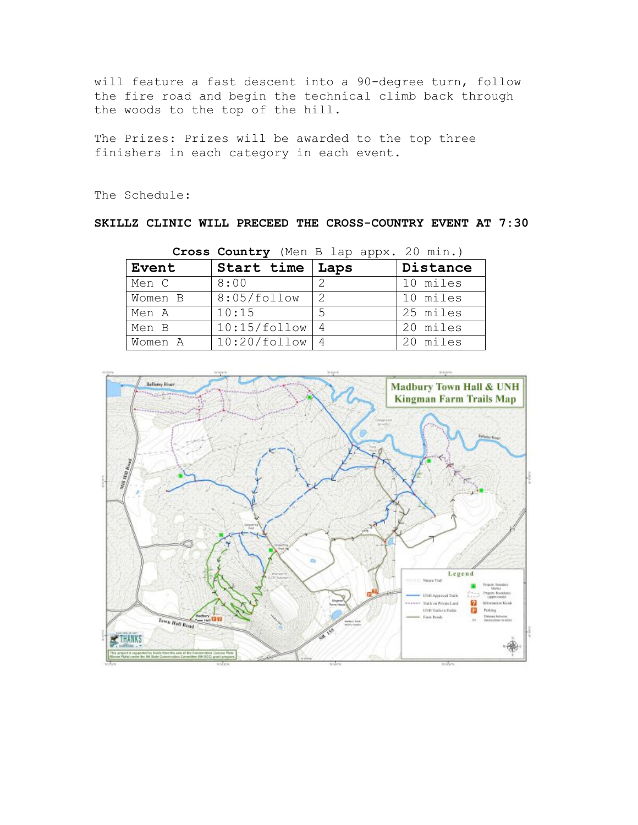will feature a fast descent into a 90-degree turn, follow the fire road and begin the technical climb back through the woods to the top of the hill.

The Prizes: Prizes will be awarded to the top three finishers in each category in each event.

The Schedule:

**SKILLZ CLINIC WILL PRECEED THE CROSS-COUNTRY EVENT AT 7:30**

|         | Cross country then b lap apps. Zo mill., |               |          |
|---------|------------------------------------------|---------------|----------|
| Event   | Start time   Laps                        |               | Distance |
| Men C   | 8:00                                     |               | 10 miles |
| Women B | 8:05/follow                              | $\mathcal{P}$ | 10 miles |
| Men A   | 10:15                                    | .5            | 25 miles |
| Men B   | 10:15/follow                             |               | 20 miles |
| Women A | 10:20/follow                             |               | 20 miles |

**Cross Country** (Men B lap appx. 20 min.)

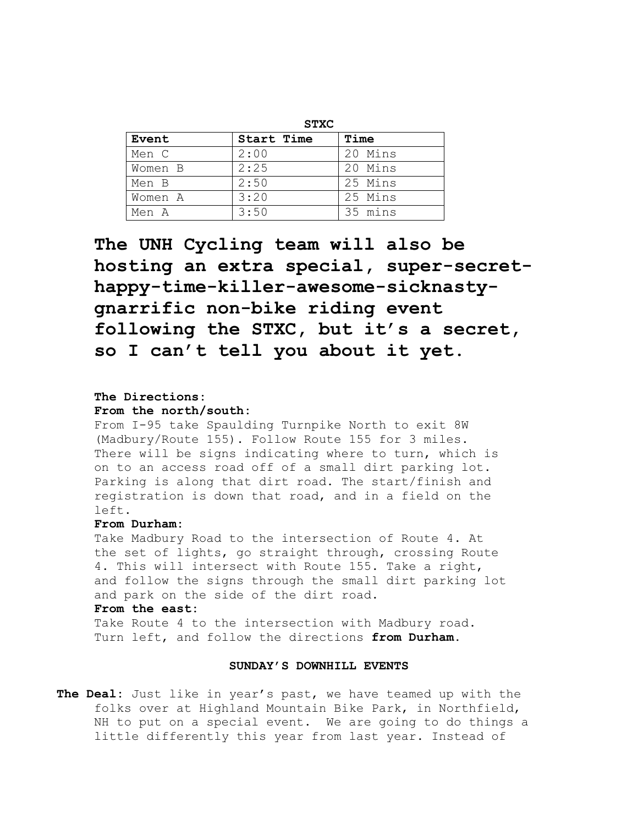| Event   | <b>Start Time</b> | Time    |
|---------|-------------------|---------|
| Men C   | 2:00              | 20 Mins |
| Women B | 2:25              | 20 Mins |
| Men B   | 2:50              | 25 Mins |
| Women A | 3:20              | 25 Mins |
| Men A   | 3:50              | 35 mins |

**The UNH Cycling team will also be hosting an extra special, super-secrethappy-time-killer-awesome-sicknastygnarrific non-bike riding event following the STXC, but it's a secret, so I can't tell you about it yet.**

#### **The Directions:**

#### **From the north/south:**

From I-95 take Spaulding Turnpike North to exit 8W (Madbury/Route 155). Follow Route 155 for 3 miles. There will be signs indicating where to turn, which is on to an access road off of a small dirt parking lot. Parking is along that dirt road. The start/finish and registration is down that road, and in a field on the left.

#### **From Durham:**

Take Madbury Road to the intersection of Route 4. At the set of lights, go straight through, crossing Route 4. This will intersect with Route 155. Take a right, and follow the signs through the small dirt parking lot and park on the side of the dirt road.

#### **From the east:**

Take Route 4 to the intersection with Madbury road. Turn left, and follow the directions **from Durham.**

#### **SUNDAY'S DOWNHILL EVENTS**

**The Deal:** Just like in year's past, we have teamed up with the folks over at Highland Mountain Bike Park, in Northfield, NH to put on a special event. We are going to do things a little differently this year from last year. Instead of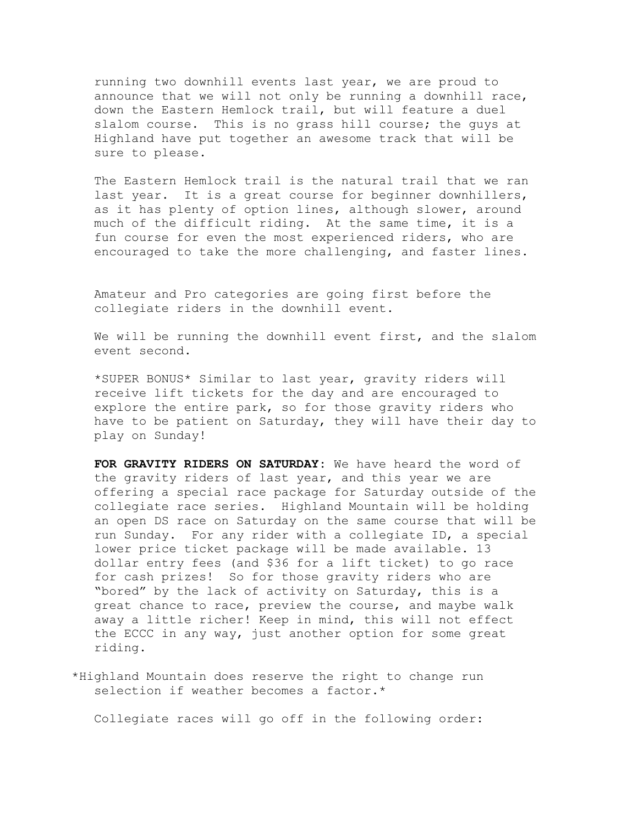running two downhill events last year, we are proud to announce that we will not only be running a downhill race, down the Eastern Hemlock trail, but will feature a duel slalom course. This is no grass hill course; the guys at Highland have put together an awesome track that will be sure to please.

The Eastern Hemlock trail is the natural trail that we ran last year. It is a great course for beginner downhillers, as it has plenty of option lines, although slower, around much of the difficult riding. At the same time, it is a fun course for even the most experienced riders, who are encouraged to take the more challenging, and faster lines.

Amateur and Pro categories are going first before the collegiate riders in the downhill event.

We will be running the downhill event first, and the slalom event second.

\*SUPER BONUS\* Similar to last year, gravity riders will receive lift tickets for the day and are encouraged to explore the entire park, so for those gravity riders who have to be patient on Saturday, they will have their day to play on Sunday!

**FOR GRAVITY RIDERS ON SATURDAY:** We have heard the word of the gravity riders of last year, and this year we are offering a special race package for Saturday outside of the collegiate race series. Highland Mountain will be holding an open DS race on Saturday on the same course that will be run Sunday. For any rider with a collegiate ID, a special lower price ticket package will be made available. 13 dollar entry fees (and \$36 for a lift ticket) to go race for cash prizes! So for those gravity riders who are "bored" by the lack of activity on Saturday, this is a great chance to race, preview the course, and maybe walk away a little richer! Keep in mind, this will not effect the ECCC in any way, just another option for some great riding.

 \*Highland Mountain does reserve the right to change run selection if weather becomes a factor.\*

Collegiate races will go off in the following order: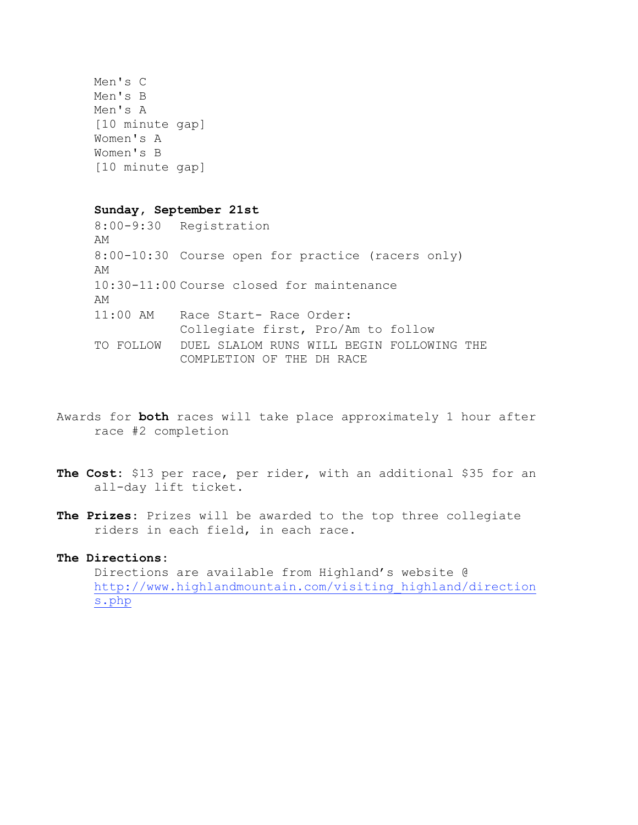```
Men's C
Men's B
Men's A
[10 minute gap]
Women's A
Women's B
[10 minute gap]
```
#### **Sunday, September 21st**

8:00-9:30 Registration AM 8:00-10:30 Course open for practice (racers only) AM 10:30-11:00 Course closed for maintenance AM 11:00 AM Race Start- Race Order: Collegiate first, Pro/Am to follow TO FOLLOW DUEL SLALOM RUNS WILL BEGIN FOLLOWING THE COMPLETION OF THE DH RACE

- Awards for **both** races will take place approximately 1 hour after race #2 completion
- **The Cost:** \$13 per race, per rider, with an additional \$35 for an all-day lift ticket.
- **The Prizes**: Prizes will be awarded to the top three collegiate riders in each field, in each race.

## **The Directions:**

Directions are available from Highland's website @ http://www.highlandmountain.com/visiting\_highland/direction s.php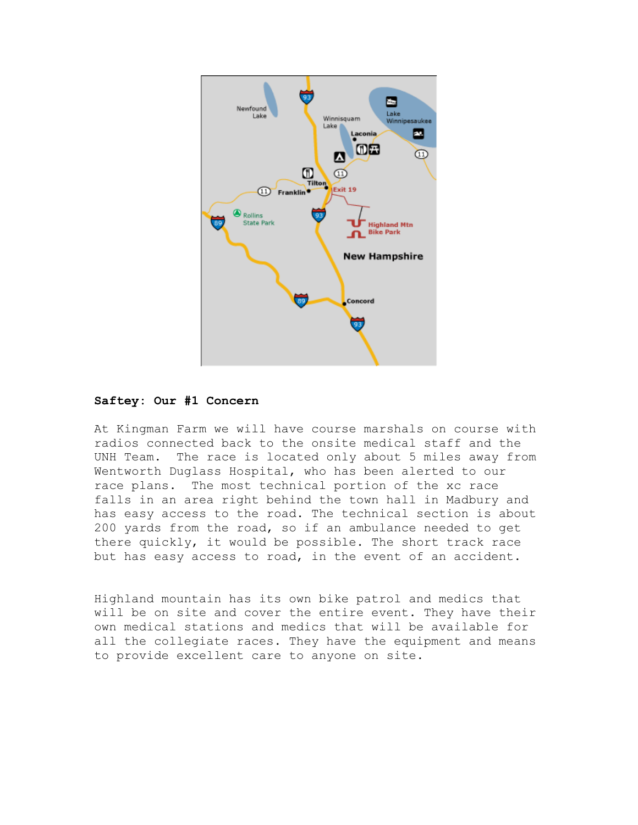

## **Saftey: Our #1 Concern**

At Kingman Farm we will have course marshals on course with radios connected back to the onsite medical staff and the UNH Team. The race is located only about 5 miles away from Wentworth Duglass Hospital, who has been alerted to our race plans. The most technical portion of the xc race falls in an area right behind the town hall in Madbury and has easy access to the road. The technical section is about 200 yards from the road, so if an ambulance needed to get there quickly, it would be possible. The short track race but has easy access to road, in the event of an accident.

Highland mountain has its own bike patrol and medics that will be on site and cover the entire event. They have their own medical stations and medics that will be available for all the collegiate races. They have the equipment and means to provide excellent care to anyone on site.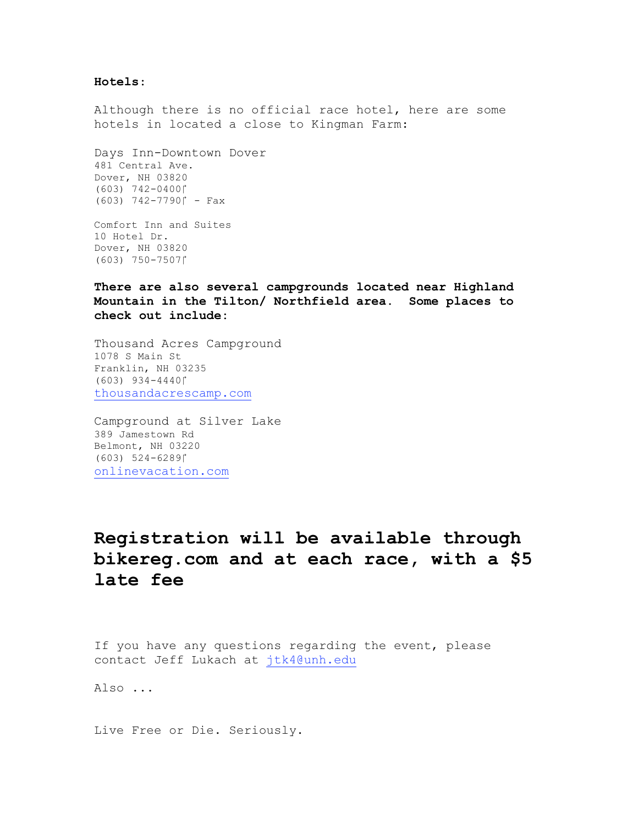#### **Hotels**:

Although there is no official race hotel, here are some hotels in located a close to Kingman Farm:

Days Inn-Downtown Dover 481 Central Ave. Dover, NH 03820 (603) 742-0400!  $(603)$  742-7790 $\uparrow$  - Fax

Comfort Inn and Suites 10 Hotel Dr. Dover, NH 03820 (603) 750-7507!

**There are also several campgrounds located near Highland Mountain in the Tilton/ Northfield area. Some places to check out include:**

Thousand Acres Campground 1078 S Main St Franklin, NH 03235 (603) 934-4440! thousandacrescamp.com

Campground at Silver Lake 389 Jamestown Rd Belmont, NH 03220 (603) 524-6289! onlinevacation.com

# **Registration will be available through bikereg.com and at each race, with a \$5 late fee**

If you have any questions regarding the event, please contact Jeff Lukach at jtk4@unh.edu

Also ...

Live Free or Die. Seriously.